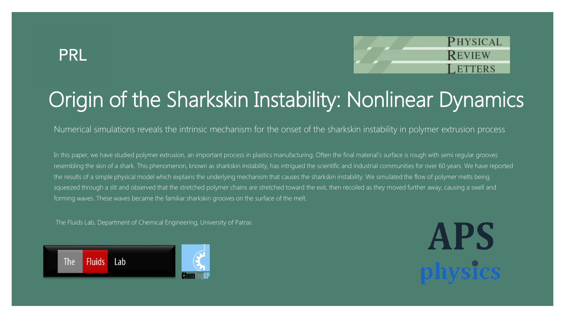#### **PRL**



# Origin of the Sharkskin Instability: Nonlinear Dynamics

Numerical simulations reveals the intrinsic mechanism for the onset of the sharkskin instability in polymer extrusion process

In this paper, we have studied polymer extrusion, an important process in plastics manufacturing. Often the final material's surface is rough with semi regular grooves resembling the skin of a shark. This phenomenon, known as sharkskin instability, has intrigued the scientific and industrial communities for over 60 years. We have reported the results of a simple physical model which explains the underlying mechanism that causes the sharkskin instability. We simulated the flow of polymer melts being squeezed through a slit and observed that the stretched polymer chains are stretched toward the exit, then recoiled as they moved further away, causing a swell and forming waves. These waves became the familiar sharkskin grooves on the surface of the melt.

The Fluids Lab, Department of Chemical Engineering, University of Patras



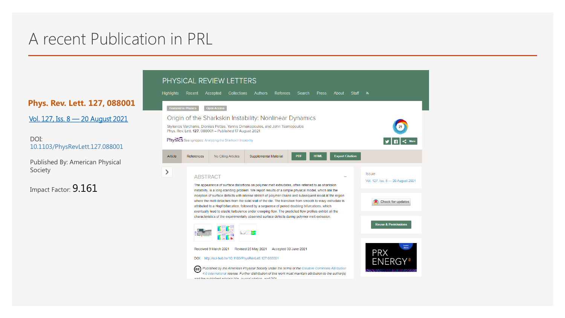#### A recent Publication in PRL

**Phys. Rev. Lett. 127, 088001**

Vol. 127, Iss. 8 — [20 August 2021](https://journals.aps.org/prl/issues/127/8)

DOI: 10.1103/PhysRevLett.127.088001

Published By: American Physical Society

Impact Factor: 9.161

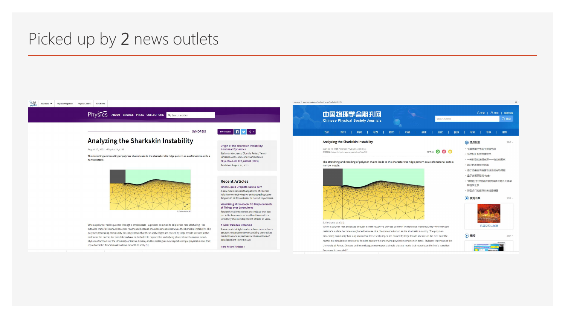#### Picked up by 2 news outlets

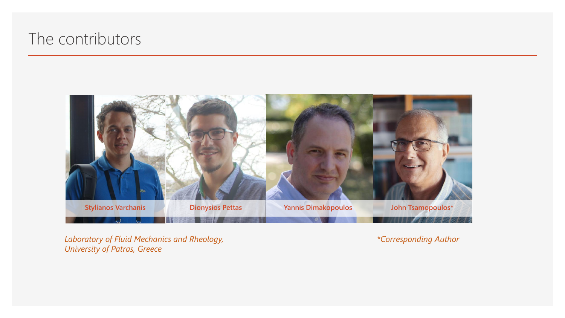#### The contributors



*Laboratory of Fluid Mechanics and Rheology, University of Patras, Greece*

*\*Corresponding Author*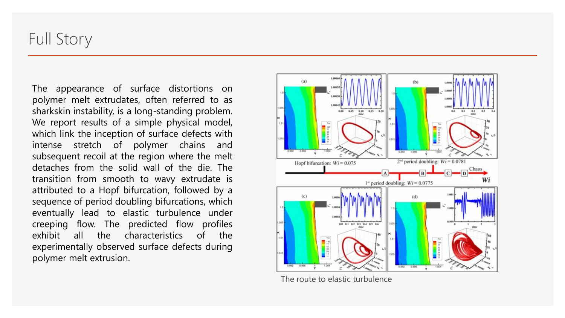#### Full Story

The appearance of surface distortions on polymer melt extrudates, often referred to as sharkskin instability, is a long-standing problem. We report results of a simple physical model, which link the inception of surface defects with intense stretch of polymer chains and subsequent recoil at the region where the melt detaches from the solid wall of the die. The transition from smooth to wavy extrudate is attributed to a Hopf bifurcation, followed by a sequence of period doubling bifurcations, which eventually lead to elastic turbulence under creeping flow. The predicted flow profiles exhibit all the characteristics of the experimentally observed surface defects during polymer melt extrusion.



The route to elastic turbulence